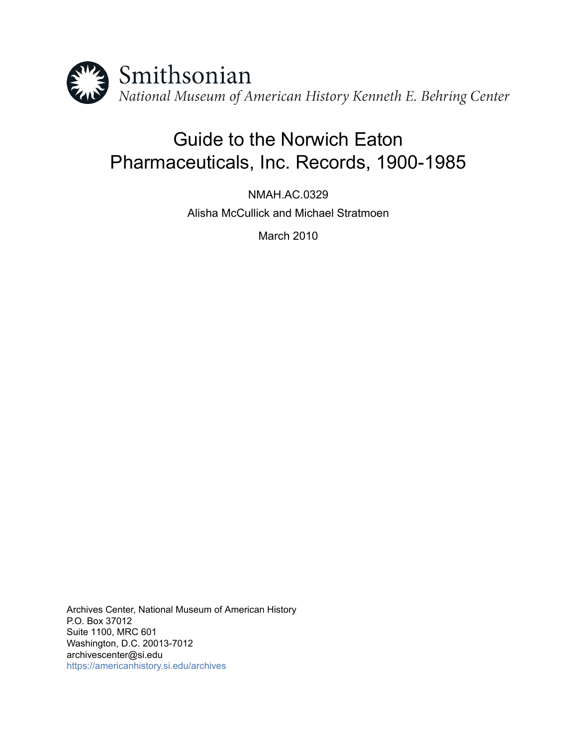

# Guide to the Norwich Eaton Pharmaceuticals, Inc. Records, 1900-1985

NMAH.AC.0329 Alisha McCullick and Michael Stratmoen

March 2010

Archives Center, National Museum of American History P.O. Box 37012 Suite 1100, MRC 601 Washington, D.C. 20013-7012 archivescenter@si.edu <https://americanhistory.si.edu/archives>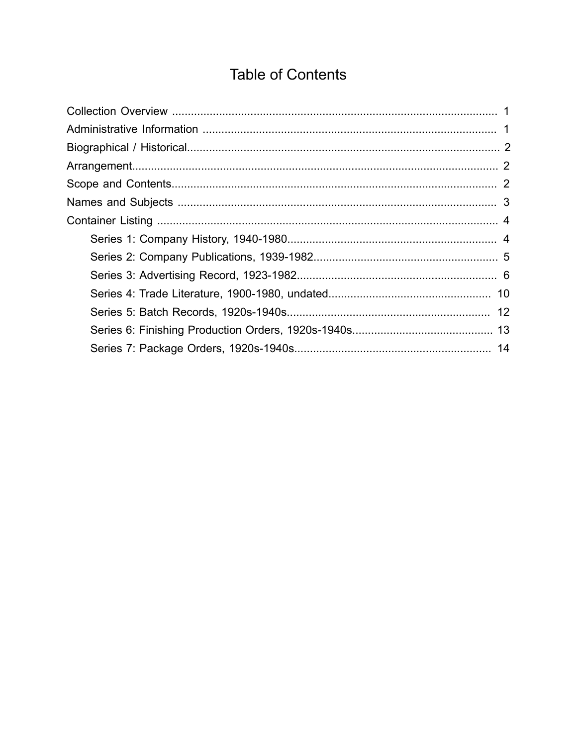# **Table of Contents**

<span id="page-1-0"></span>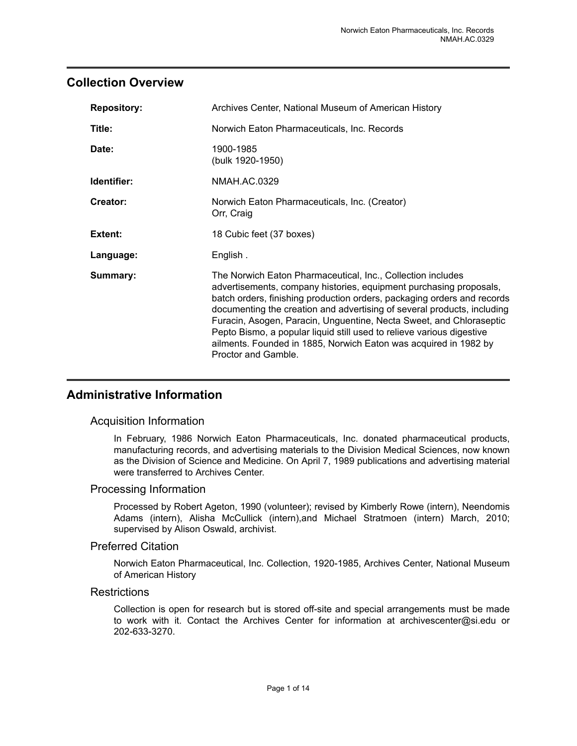### <span id="page-2-0"></span>**Collection Overview**

| <b>Repository:</b> | Archives Center, National Museum of American History                                                                                                                                                                                                                                                                                                                                                                                                                                                                               |
|--------------------|------------------------------------------------------------------------------------------------------------------------------------------------------------------------------------------------------------------------------------------------------------------------------------------------------------------------------------------------------------------------------------------------------------------------------------------------------------------------------------------------------------------------------------|
| Title:             | Norwich Eaton Pharmaceuticals, Inc. Records                                                                                                                                                                                                                                                                                                                                                                                                                                                                                        |
| Date:              | 1900-1985<br>(bulk 1920-1950)                                                                                                                                                                                                                                                                                                                                                                                                                                                                                                      |
| Identifier:        | NMAH.AC.0329                                                                                                                                                                                                                                                                                                                                                                                                                                                                                                                       |
| Creator:           | Norwich Eaton Pharmaceuticals, Inc. (Creator)<br>Orr, Craig                                                                                                                                                                                                                                                                                                                                                                                                                                                                        |
| Extent:            | 18 Cubic feet (37 boxes)                                                                                                                                                                                                                                                                                                                                                                                                                                                                                                           |
| Language:          | English.                                                                                                                                                                                                                                                                                                                                                                                                                                                                                                                           |
| Summary:           | The Norwich Eaton Pharmaceutical, Inc., Collection includes<br>advertisements, company histories, equipment purchasing proposals,<br>batch orders, finishing production orders, packaging orders and records<br>documenting the creation and advertising of several products, including<br>Furacin, Asogen, Paracin, Unguentine, Necta Sweet, and Chloraseptic<br>Pepto Bismo, a popular liquid still used to relieve various digestive<br>ailments. Founded in 1885, Norwich Eaton was acquired in 1982 by<br>Proctor and Gamble. |

## <span id="page-2-1"></span>**Administrative Information**

#### Acquisition Information

In February, 1986 Norwich Eaton Pharmaceuticals, Inc. donated pharmaceutical products, manufacturing records, and advertising materials to the Division Medical Sciences, now known as the Division of Science and Medicine. On April 7, 1989 publications and advertising material were transferred to Archives Center.

#### Processing Information

Processed by Robert Ageton, 1990 (volunteer); revised by Kimberly Rowe (intern), Neendomis Adams (intern), Alisha McCullick (intern),and Michael Stratmoen (intern) March, 2010; supervised by Alison Oswald, archivist.

#### Preferred Citation

Norwich Eaton Pharmaceutical, Inc. Collection, 1920-1985, Archives Center, National Museum of American History

#### **Restrictions**

Collection is open for research but is stored off-site and special arrangements must be made to work with it. Contact the Archives Center for information at archivescenter@si.edu or 202-633-3270.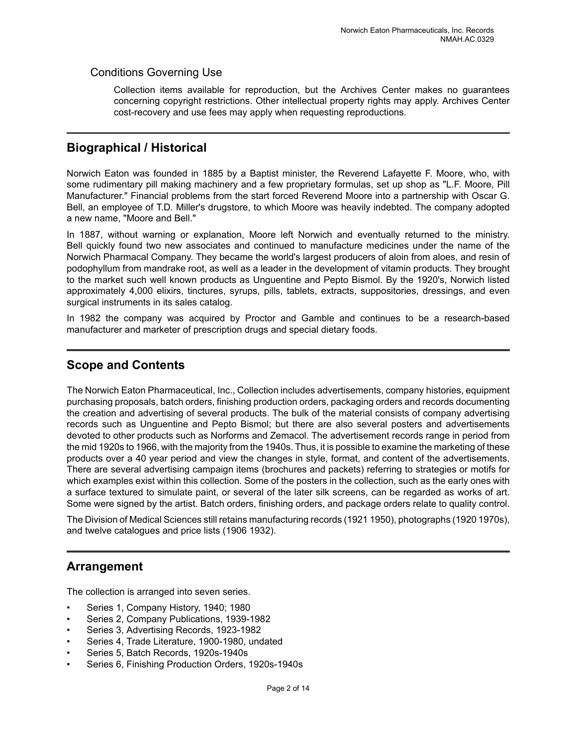#### Conditions Governing Use

Collection items available for reproduction, but the Archives Center makes no guarantees concerning copyright restrictions. Other intellectual property rights may apply. Archives Center cost-recovery and use fees may apply when requesting reproductions.

### <span id="page-3-0"></span>**Biographical / Historical**

Norwich Eaton was founded in 1885 by a Baptist minister, the Reverend Lafayette F. Moore, who, with some rudimentary pill making machinery and a few proprietary formulas, set up shop as "L.F. Moore, Pill Manufacturer." Financial problems from the start forced Reverend Moore into a partnership with Oscar G. Bell, an employee of T.D. Miller's drugstore, to which Moore was heavily indebted. The company adopted a new name, "Moore and Bell."

In 1887, without warning or explanation, Moore left Norwich and eventually returned to the ministry. Bell quickly found two new associates and continued to manufacture medicines under the name of the Norwich Pharmacal Company. They became the world's largest producers of aloin from aloes, and resin of podophyllum from mandrake root, as well as a leader in the development of vitamin products. They brought to the market such well known products as Unguentine and Pepto Bismol. By the 1920's, Norwich listed approximately 4,000 elixirs, tinctures, syrups, pills, tablets, extracts, suppositories, dressings, and even surgical instruments in its sales catalog.

In 1982 the company was acquired by Proctor and Gamble and continues to be a research-based manufacturer and marketer of prescription drugs and special dietary foods.

#### <span id="page-3-2"></span>**Scope and Contents**

The Norwich Eaton Pharmaceutical, Inc., Collection includes advertisements, company histories, equipment purchasing proposals, batch orders, finishing production orders, packaging orders and records documenting the creation and advertising of several products. The bulk of the material consists of company advertising records such as Unguentine and Pepto Bismol; but there are also several posters and advertisements devoted to other products such as Norforms and Zemacol. The advertisement records range in period from the mid 1920s to 1966, with the majority from the 1940s. Thus, it is possible to examine the marketing of these products over a 40 year period and view the changes in style, format, and content of the advertisements. There are several advertising campaign items (brochures and packets) referring to strategies or motifs for which examples exist within this collection. Some of the posters in the collection, such as the early ones with a surface textured to simulate paint, or several of the later silk screens, can be regarded as works of art. Some were signed by the artist. Batch orders, finishing orders, and package orders relate to quality control.

The Division of Medical Sciences still retains manufacturing records (1921 1950), photographs (1920 1970s), and twelve catalogues and price lists (1906 1932).

## <span id="page-3-1"></span>**Arrangement**

The collection is arranged into seven series.

- Series 1, Company History, 1940; 1980
- Series 2, Company Publications, 1939-1982
- Series 3, Advertising Records, 1923-1982
- Series 4, Trade Literature, 1900-1980, undated
- Series 5, Batch Records, 1920s-1940s
- Series 6, Finishing Production Orders, 1920s-1940s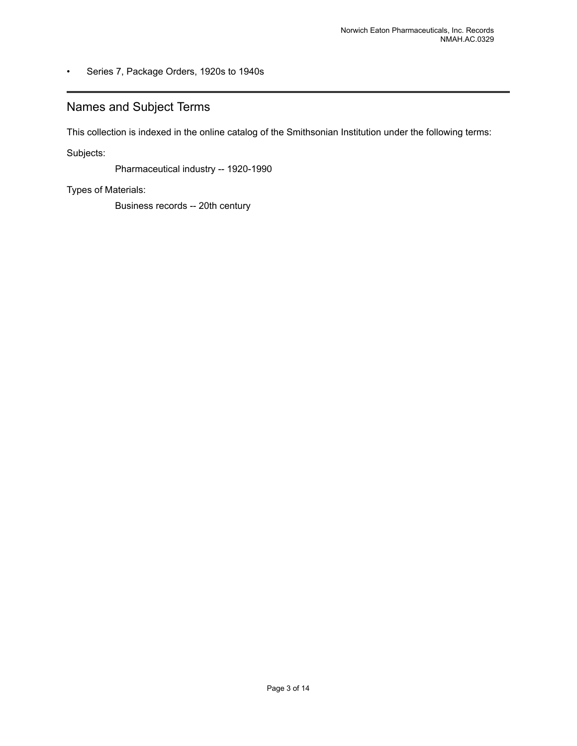#### • Series 7, Package Orders, 1920s to 1940s

# <span id="page-4-0"></span>Names and Subject Terms

This collection is indexed in the online catalog of the Smithsonian Institution under the following terms:

Subjects:

Pharmaceutical industry -- 1920-1990

Types of Materials:

Business records -- 20th century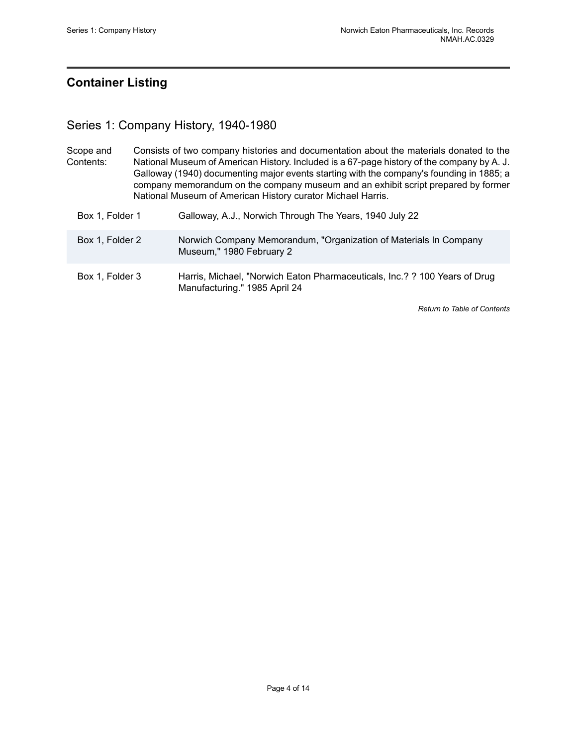# <span id="page-5-0"></span>**Container Listing**

# <span id="page-5-1"></span>Series 1: Company History, 1940-1980

| Scope and       | Consists of two company histories and documentation about the materials donated to the                                                                                                                                                                                                                                                     |  |
|-----------------|--------------------------------------------------------------------------------------------------------------------------------------------------------------------------------------------------------------------------------------------------------------------------------------------------------------------------------------------|--|
| Contents:       | National Museum of American History. Included is a 67-page history of the company by A. J.<br>Galloway (1940) documenting major events starting with the company's founding in 1885; a<br>company memorandum on the company museum and an exhibit script prepared by former<br>National Museum of American History curator Michael Harris. |  |
| Box 1, Folder 1 | Galloway, A.J., Norwich Through The Years, 1940 July 22                                                                                                                                                                                                                                                                                    |  |

| Box 1, Folder 2 | Norwich Company Memorandum, "Organization of Materials In Company |
|-----------------|-------------------------------------------------------------------|
|                 | Museum," 1980 February 2                                          |

```
Box 1, Folder 3 Harris, Michael, "Norwich Eaton Pharmaceuticals, Inc.? ? 100 Years of Drug
          Manufacturing." 1985 April 24
```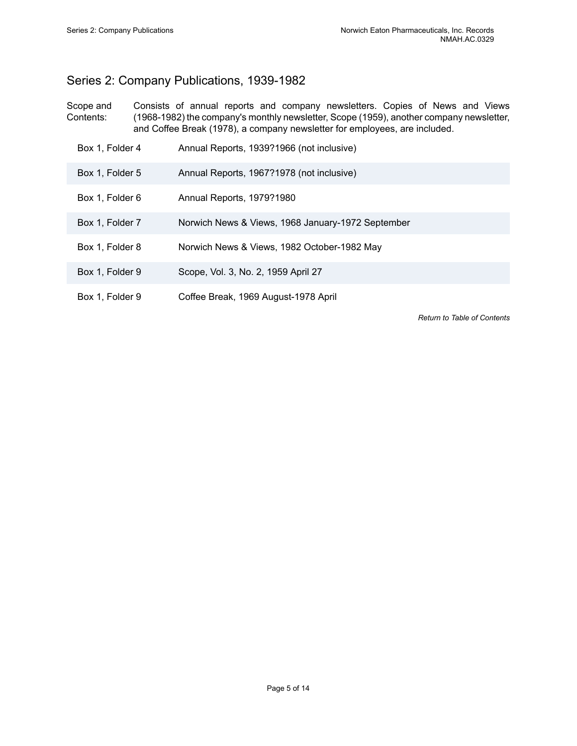# <span id="page-6-0"></span>Series 2: Company Publications, 1939-1982

- Scope and Contents: Consists of annual reports and company newsletters. Copies of News and Views (1968-1982) the company's monthly newsletter, Scope (1959), another company newsletter, and Coffee Break (1978), a company newsletter for employees, are included.
	- Box 1, Folder 4 Annual Reports, 1939?1966 (not inclusive)
	- Box 1, Folder 5 Annual Reports, 1967?1978 (not inclusive)
	- Box 1, Folder 6 Annual Reports, 1979?1980
	- Box 1, Folder 7 Norwich News & Views, 1968 January-1972 September
	- Box 1, Folder 8 Norwich News & Views, 1982 October-1982 May
	- Box 1, Folder 9 Scope, Vol. 3, No. 2, 1959 April 27
	- Box 1, Folder 9 Coffee Break, 1969 August-1978 April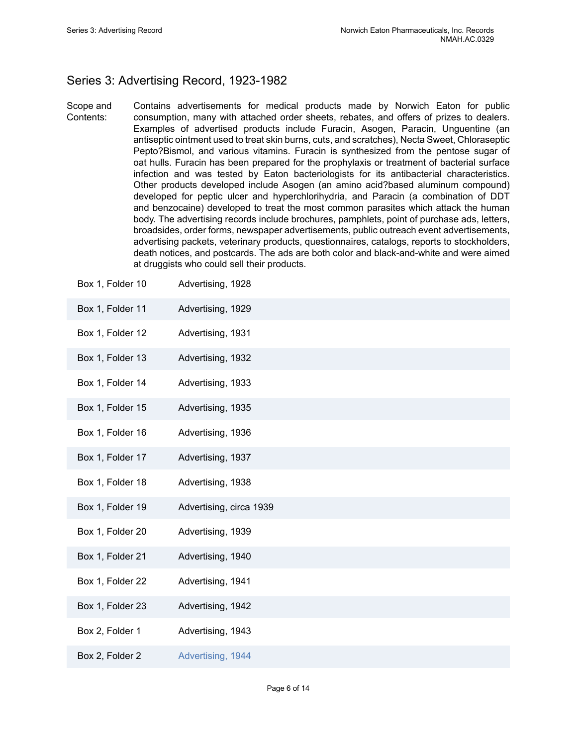# <span id="page-7-0"></span>Series 3: Advertising Record, 1923-1982

Scope and Contents: Contains advertisements for medical products made by Norwich Eaton for public consumption, many with attached order sheets, rebates, and offers of prizes to dealers. Examples of advertised products include Furacin, Asogen, Paracin, Unguentine (an antiseptic ointment used to treat skin burns, cuts, and scratches), Necta Sweet, Chloraseptic Pepto?Bismol, and various vitamins. Furacin is synthesized from the pentose sugar of oat hulls. Furacin has been prepared for the prophylaxis or treatment of bacterial surface infection and was tested by Eaton bacteriologists for its antibacterial characteristics. Other products developed include Asogen (an amino acid?based aluminum compound) developed for peptic ulcer and hyperchlorihydria, and Paracin (a combination of DDT and benzocaine) developed to treat the most common parasites which attack the human body. The advertising records include brochures, pamphlets, point of purchase ads, letters, broadsides, order forms, newspaper advertisements, public outreach event advertisements, advertising packets, veterinary products, questionnaires, catalogs, reports to stockholders, death notices, and postcards. The ads are both color and black-and-white and were aimed at druggists who could sell their products.

| Box 1, Folder 10 | Advertising, 1928       |
|------------------|-------------------------|
| Box 1, Folder 11 | Advertising, 1929       |
| Box 1, Folder 12 | Advertising, 1931       |
| Box 1, Folder 13 | Advertising, 1932       |
| Box 1, Folder 14 | Advertising, 1933       |
| Box 1, Folder 15 | Advertising, 1935       |
| Box 1, Folder 16 | Advertising, 1936       |
| Box 1, Folder 17 | Advertising, 1937       |
| Box 1, Folder 18 | Advertising, 1938       |
| Box 1, Folder 19 | Advertising, circa 1939 |
| Box 1, Folder 20 | Advertising, 1939       |
| Box 1, Folder 21 | Advertising, 1940       |
| Box 1, Folder 22 | Advertising, 1941       |
| Box 1, Folder 23 | Advertising, 1942       |
| Box 2, Folder 1  | Advertising, 1943       |
| Box 2, Folder 2  | Advertising, 1944       |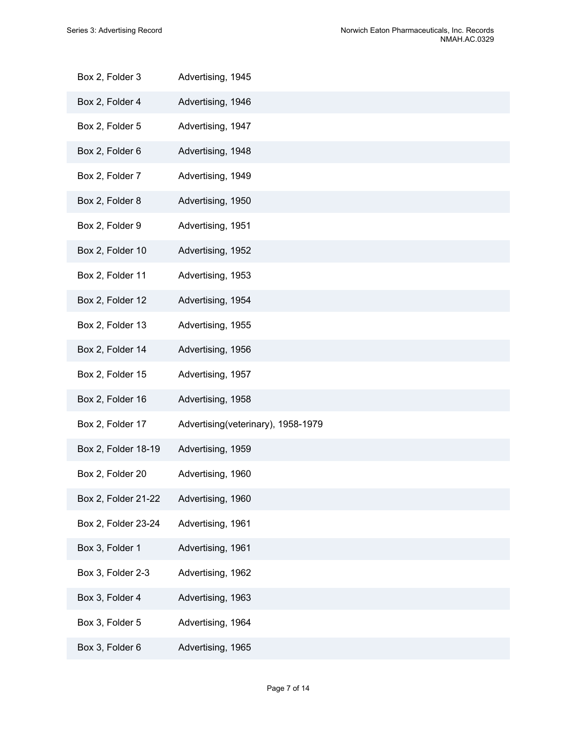| Box 2, Folder 3     | Advertising, 1945                  |
|---------------------|------------------------------------|
| Box 2, Folder 4     | Advertising, 1946                  |
| Box 2, Folder 5     | Advertising, 1947                  |
| Box 2, Folder 6     | Advertising, 1948                  |
| Box 2, Folder 7     | Advertising, 1949                  |
| Box 2, Folder 8     | Advertising, 1950                  |
| Box 2, Folder 9     | Advertising, 1951                  |
| Box 2, Folder 10    | Advertising, 1952                  |
| Box 2, Folder 11    | Advertising, 1953                  |
| Box 2, Folder 12    | Advertising, 1954                  |
| Box 2, Folder 13    | Advertising, 1955                  |
| Box 2, Folder 14    | Advertising, 1956                  |
| Box 2, Folder 15    | Advertising, 1957                  |
| Box 2, Folder 16    | Advertising, 1958                  |
| Box 2, Folder 17    | Advertising(veterinary), 1958-1979 |
| Box 2, Folder 18-19 | Advertising, 1959                  |
| Box 2, Folder 20    | Advertising, 1960                  |
| Box 2, Folder 21-22 | Advertising, 1960                  |
| Box 2, Folder 23-24 | Advertising, 1961                  |
| Box 3, Folder 1     | Advertising, 1961                  |
| Box 3, Folder 2-3   | Advertising, 1962                  |
| Box 3, Folder 4     | Advertising, 1963                  |
| Box 3, Folder 5     | Advertising, 1964                  |
| Box 3, Folder 6     | Advertising, 1965                  |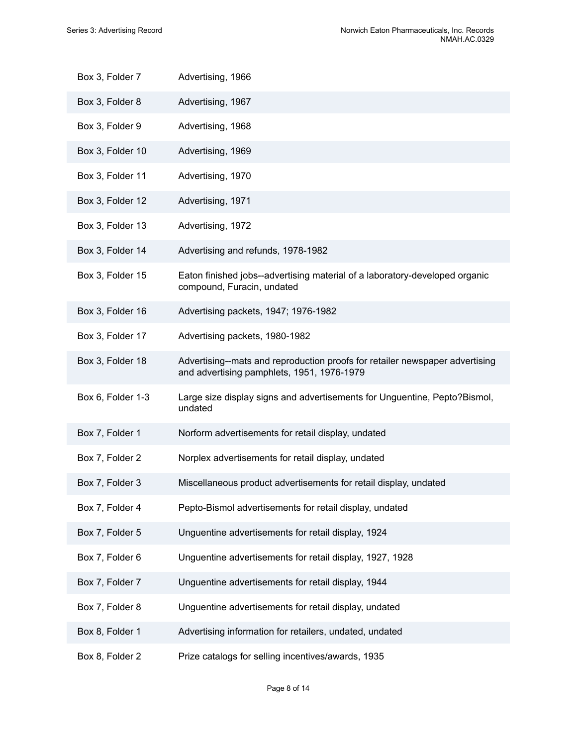| Box 3, Folder 7   | Advertising, 1966                                                                                                          |
|-------------------|----------------------------------------------------------------------------------------------------------------------------|
| Box 3, Folder 8   | Advertising, 1967                                                                                                          |
| Box 3, Folder 9   | Advertising, 1968                                                                                                          |
| Box 3, Folder 10  | Advertising, 1969                                                                                                          |
| Box 3, Folder 11  | Advertising, 1970                                                                                                          |
| Box 3, Folder 12  | Advertising, 1971                                                                                                          |
| Box 3, Folder 13  | Advertising, 1972                                                                                                          |
| Box 3, Folder 14  | Advertising and refunds, 1978-1982                                                                                         |
| Box 3, Folder 15  | Eaton finished jobs--advertising material of a laboratory-developed organic<br>compound, Furacin, undated                  |
| Box 3, Folder 16  | Advertising packets, 1947; 1976-1982                                                                                       |
| Box 3, Folder 17  | Advertising packets, 1980-1982                                                                                             |
| Box 3, Folder 18  | Advertising--mats and reproduction proofs for retailer newspaper advertising<br>and advertising pamphlets, 1951, 1976-1979 |
| Box 6, Folder 1-3 | Large size display signs and advertisements for Unguentine, Pepto?Bismol,<br>undated                                       |
| Box 7, Folder 1   | Norform advertisements for retail display, undated                                                                         |
| Box 7, Folder 2   | Norplex advertisements for retail display, undated                                                                         |
| Box 7, Folder 3   | Miscellaneous product advertisements for retail display, undated                                                           |
| Box 7, Folder 4   | Pepto-Bismol advertisements for retail display, undated                                                                    |
| Box 7, Folder 5   | Unguentine advertisements for retail display, 1924                                                                         |
| Box 7, Folder 6   | Unguentine advertisements for retail display, 1927, 1928                                                                   |
| Box 7, Folder 7   | Unguentine advertisements for retail display, 1944                                                                         |
| Box 7, Folder 8   | Unguentine advertisements for retail display, undated                                                                      |
| Box 8, Folder 1   | Advertising information for retailers, undated, undated                                                                    |
| Box 8, Folder 2   | Prize catalogs for selling incentives/awards, 1935                                                                         |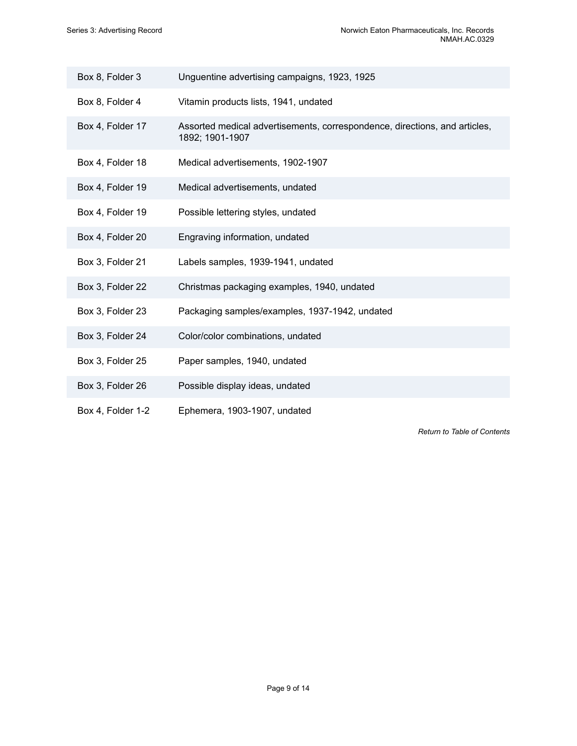| Box 8, Folder 3   | Unguentine advertising campaigns, 1923, 1925                                                  |
|-------------------|-----------------------------------------------------------------------------------------------|
| Box 8, Folder 4   | Vitamin products lists, 1941, undated                                                         |
| Box 4, Folder 17  | Assorted medical advertisements, correspondence, directions, and articles,<br>1892; 1901-1907 |
| Box 4, Folder 18  | Medical advertisements, 1902-1907                                                             |
| Box 4, Folder 19  | Medical advertisements, undated                                                               |
| Box 4, Folder 19  | Possible lettering styles, undated                                                            |
| Box 4, Folder 20  | Engraving information, undated                                                                |
| Box 3, Folder 21  | Labels samples, 1939-1941, undated                                                            |
| Box 3, Folder 22  | Christmas packaging examples, 1940, undated                                                   |
| Box 3, Folder 23  | Packaging samples/examples, 1937-1942, undated                                                |
| Box 3, Folder 24  | Color/color combinations, undated                                                             |
| Box 3, Folder 25  | Paper samples, 1940, undated                                                                  |
| Box 3, Folder 26  | Possible display ideas, undated                                                               |
| Box 4, Folder 1-2 | Ephemera, 1903-1907, undated                                                                  |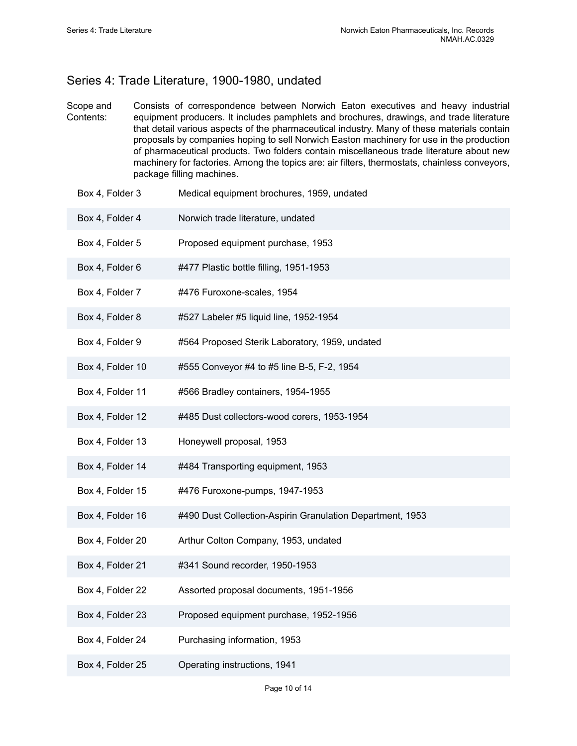## <span id="page-11-0"></span>Series 4: Trade Literature, 1900-1980, undated

- Scope and Contents: Consists of correspondence between Norwich Eaton executives and heavy industrial equipment producers. It includes pamphlets and brochures, drawings, and trade literature that detail various aspects of the pharmaceutical industry. Many of these materials contain proposals by companies hoping to sell Norwich Easton machinery for use in the production of pharmaceutical products. Two folders contain miscellaneous trade literature about new machinery for factories. Among the topics are: air filters, thermostats, chainless conveyors, package filling machines.
	- Box 4, Folder 3 Medical equipment brochures, 1959, undated
	- Box 4, Folder 4 Norwich trade literature, undated
	- Box 4, Folder 5 Proposed equipment purchase, 1953
	- Box 4, Folder 6 #477 Plastic bottle filling, 1951-1953
	- Box 4, Folder 7 #476 Furoxone-scales, 1954
	- Box 4, Folder 8 #527 Labeler #5 liquid line, 1952-1954
	- Box 4, Folder 9 #564 Proposed Sterik Laboratory, 1959, undated
	- Box 4, Folder 10 #555 Conveyor #4 to #5 line B-5, F-2, 1954
	- Box 4, Folder 11 #566 Bradley containers, 1954-1955
	- Box 4, Folder 12 #485 Dust collectors-wood corers, 1953-1954
	- Box 4, Folder 13 Honeywell proposal, 1953
	- Box 4, Folder 14 #484 Transporting equipment, 1953
	- Box 4, Folder 15 #476 Furoxone-pumps, 1947-1953
	- Box 4, Folder 16 #490 Dust Collection-Aspirin Granulation Department, 1953
	- Box 4, Folder 20 Arthur Colton Company, 1953, undated
	- Box 4, Folder 21 #341 Sound recorder, 1950-1953
	- Box 4, Folder 22 Assorted proposal documents, 1951-1956
	- Box 4, Folder 23 Proposed equipment purchase, 1952-1956
	- Box 4, Folder 24 Purchasing information, 1953
	- Box 4, Folder 25 Operating instructions, 1941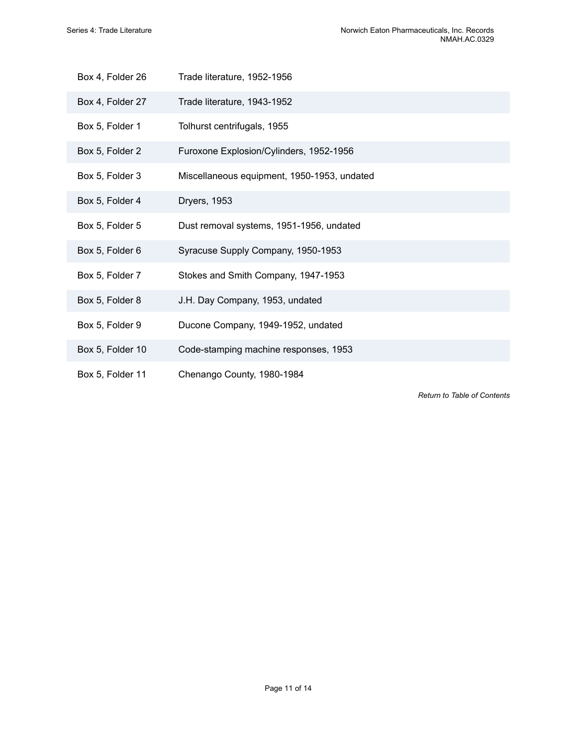| Box 4, Folder 26 | Trade literature, 1952-1956                 |
|------------------|---------------------------------------------|
| Box 4, Folder 27 | Trade literature, 1943-1952                 |
| Box 5, Folder 1  | Tolhurst centrifugals, 1955                 |
| Box 5, Folder 2  | Furoxone Explosion/Cylinders, 1952-1956     |
| Box 5, Folder 3  | Miscellaneous equipment, 1950-1953, undated |
| Box 5, Folder 4  | <b>Dryers, 1953</b>                         |
| Box 5, Folder 5  | Dust removal systems, 1951-1956, undated    |
| Box 5, Folder 6  | Syracuse Supply Company, 1950-1953          |
| Box 5, Folder 7  | Stokes and Smith Company, 1947-1953         |
| Box 5, Folder 8  | J.H. Day Company, 1953, undated             |
| Box 5, Folder 9  | Ducone Company, 1949-1952, undated          |
| Box 5, Folder 10 | Code-stamping machine responses, 1953       |
| Box 5, Folder 11 | Chenango County, 1980-1984                  |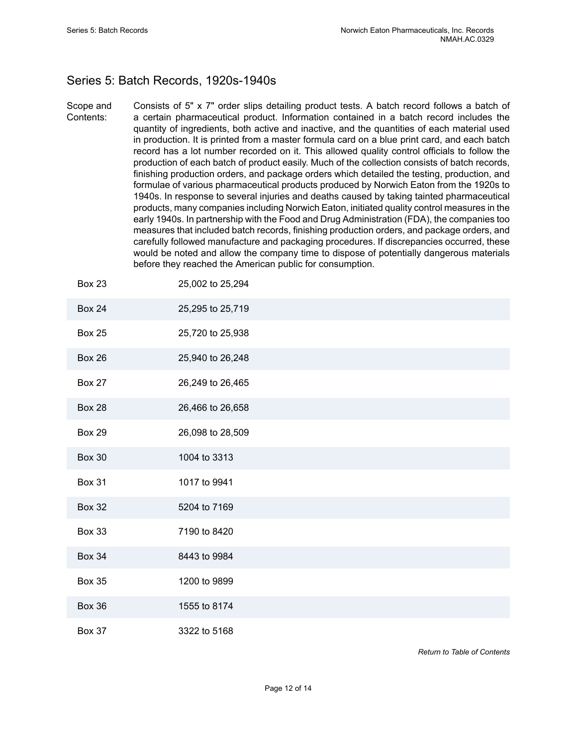# <span id="page-13-0"></span>Series 5: Batch Records, 1920s-1940s

Scope and Contents: Consists of 5" x 7" order slips detailing product tests. A batch record follows a batch of a certain pharmaceutical product. Information contained in a batch record includes the quantity of ingredients, both active and inactive, and the quantities of each material used in production. It is printed from a master formula card on a blue print card, and each batch record has a lot number recorded on it. This allowed quality control officials to follow the production of each batch of product easily. Much of the collection consists of batch records, finishing production orders, and package orders which detailed the testing, production, and formulae of various pharmaceutical products produced by Norwich Eaton from the 1920s to 1940s. In response to several injuries and deaths caused by taking tainted pharmaceutical products, many companies including Norwich Eaton, initiated quality control measures in the early 1940s. In partnership with the Food and Drug Administration (FDA), the companies too measures that included batch records, finishing production orders, and package orders, and carefully followed manufacture and packaging procedures. If discrepancies occurred, these would be noted and allow the company time to dispose of potentially dangerous materials before they reached the American public for consumption.

| Box 23        | 25,002 to 25,294 |
|---------------|------------------|
| <b>Box 24</b> | 25,295 to 25,719 |
| <b>Box 25</b> | 25,720 to 25,938 |
| <b>Box 26</b> | 25,940 to 26,248 |
| <b>Box 27</b> | 26,249 to 26,465 |
| <b>Box 28</b> | 26,466 to 26,658 |
| <b>Box 29</b> | 26,098 to 28,509 |
| <b>Box 30</b> | 1004 to 3313     |
| <b>Box 31</b> | 1017 to 9941     |
| <b>Box 32</b> | 5204 to 7169     |
| <b>Box 33</b> | 7190 to 8420     |
| <b>Box 34</b> | 8443 to 9984     |
| <b>Box 35</b> | 1200 to 9899     |
| <b>Box 36</b> | 1555 to 8174     |
| <b>Box 37</b> | 3322 to 5168     |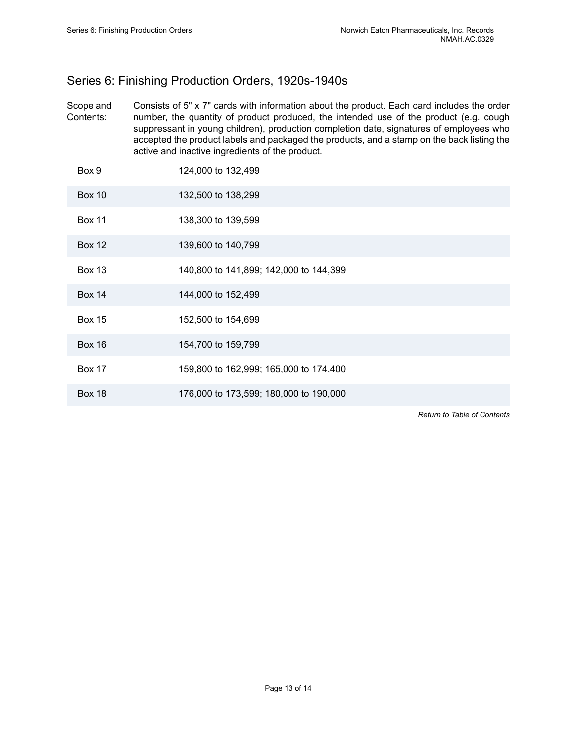# <span id="page-14-0"></span>Series 6: Finishing Production Orders, 1920s-1940s

Scope and Contents: Consists of 5" x 7" cards with information about the product. Each card includes the order number, the quantity of product produced, the intended use of the product (e.g. cough suppressant in young children), production completion date, signatures of employees who accepted the product labels and packaged the products, and a stamp on the back listing the active and inactive ingredients of the product.

| Box 9         | 124,000 to 132,499                     |
|---------------|----------------------------------------|
| <b>Box 10</b> | 132,500 to 138,299                     |
| <b>Box 11</b> | 138,300 to 139,599                     |
| <b>Box 12</b> | 139,600 to 140,799                     |
| <b>Box 13</b> | 140,800 to 141,899; 142,000 to 144,399 |
| <b>Box 14</b> | 144,000 to 152,499                     |
| <b>Box 15</b> | 152,500 to 154,699                     |
| <b>Box 16</b> | 154,700 to 159,799                     |
| <b>Box 17</b> | 159,800 to 162,999; 165,000 to 174,400 |
| <b>Box 18</b> | 176,000 to 173,599; 180,000 to 190,000 |
|               |                                        |